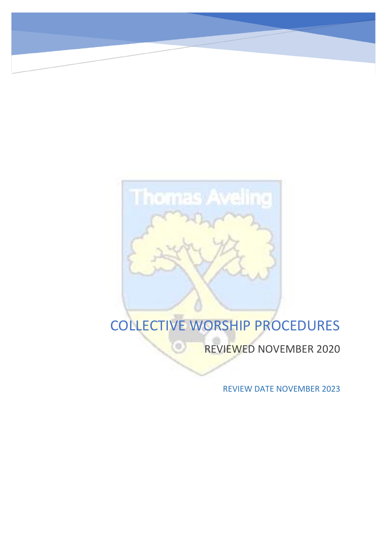G

**Thomas Aveling** 

# COLLECTIVE WORSHIP PROCEDURES

REVIEWED NOVEMBER 2020

REVIEW DATE NOVEMBER 2023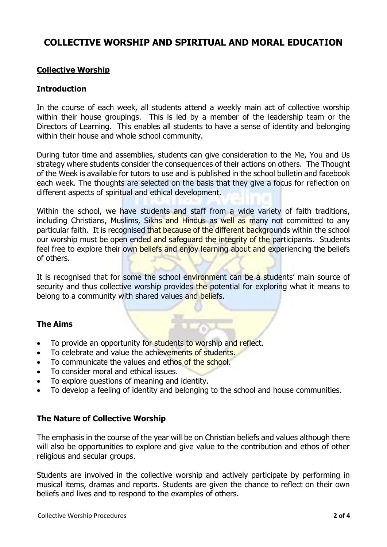## **COLLECTIVE WORSHIP AND SPIRITUAL AND MORAL EDUCATION**

#### **Collective Worship**

#### **Introduction**

In the course of each week, all students attend a weekly main act of collective worship within their house groupings. This is led by a member of the leadership team or the Directors of Learning. This enables all students to have a sense of identity and belonging within their house and whole school community.

During tutor time and assemblies, students can give consideration to the Me, You and Us strategy where students consider the consequences of their actions on others. The Thought of the Week is available for tutors to use and is published in the school bulletin and facebook each week. The thoughts are selected on the basis that they give a focus for reflection on different aspects of spiritual and ethical development.

Within the school, we have students and staff from a wide variety of faith traditions, including Christians, Muslims, Sikhs and Hindus as well as many not committed to any particular faith. It is recognised that because of the different backgrounds within the school our worship must be open ended and safeguard the integrity of the participants. Students feel free to explore their own beliefs and enjoy learning about and experiencing the beliefs of others.

It is recognised that for some the school environment can be a students' main source of security and thus collective worship provides the potential for exploring what it means to belong to a community with shared values and beliefs.

#### **The Aims**

- To provide an opportunity for students to worship and reflect.
- To celebrate and value the achievements of students.
- To communicate the values and ethos of the school.
- To consider moral and ethical issues.
- To explore questions of meaning and identity.
- To develop a feeling of identity and belonging to the school and house communities.

#### **The Nature of Collective Worship**

The emphasis in the course of the year will be on Christian beliefs and values although there will also be opportunities to explore and give value to the contribution and ethos of other religious and secular groups.

Students are involved in the collective worship and actively participate by performing in musical items, dramas and reports. Students are given the chance to reflect on their own beliefs and lives and to respond to the examples of others.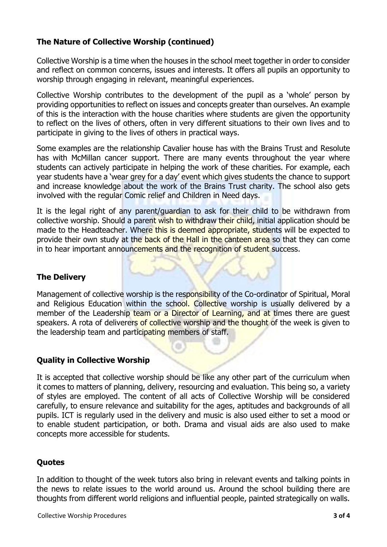### **The Nature of Collective Worship (continued)**

Collective Worship is a time when the houses in the school meet together in order to consider and reflect on common concerns, issues and interests. It offers all pupils an opportunity to worship through engaging in relevant, meaningful experiences.

Collective Worship contributes to the development of the pupil as a 'whole' person by providing opportunities to reflect on issues and concepts greater than ourselves. An example of this is the interaction with the house charities where students are given the opportunity to reflect on the lives of others, often in very different situations to their own lives and to participate in giving to the lives of others in practical ways.

Some examples are the relationship Cavalier house has with the Brains Trust and Resolute has with McMillan cancer support. There are many events throughout the year where students can actively participate in helping the work of these charities. For example, each year students have a 'wear grey for a day' event which gives students the chance to support and increase knowledge about the work of the Brains Trust charity. The school also gets involved with the regular Comic relief and Children in Need days.

It is the legal right of any parent/guardian to ask for their child to be withdrawn from collective worship. Should a parent wish to withdraw their child, initial application should be made to the Headteacher. Where this is deemed appropriate, students will be expected to provide their own study at the back of the Hall in the canteen area so that they can come in to hear important announcements and the recognition of student success.

#### **The Delivery**

Management of collective worship is the responsibility of the Co-ordinator of Spiritual, Moral and Religious Education within the school. Collective worship is usually delivered by a member of the Leadership team or a Director of Learning, and at times there are quest speakers. A rota of deliverers of collective worship and the thought of the week is given to the leadership team and participating members of staff.

#### **Quality in Collective Worship**

It is accepted that collective worship should be like any other part of the curriculum when it comes to matters of planning, delivery, resourcing and evaluation. This being so, a variety of styles are employed. The content of all acts of Collective Worship will be considered carefully, to ensure relevance and suitability for the ages, aptitudes and backgrounds of all pupils. ICT is regularly used in the delivery and music is also used either to set a mood or to enable student participation, or both. Drama and visual aids are also used to make concepts more accessible for students.

#### **Quotes**

In addition to thought of the week tutors also bring in relevant events and talking points in the news to relate issues to the world around us. Around the school building there are thoughts from different world religions and influential people, painted strategically on walls.